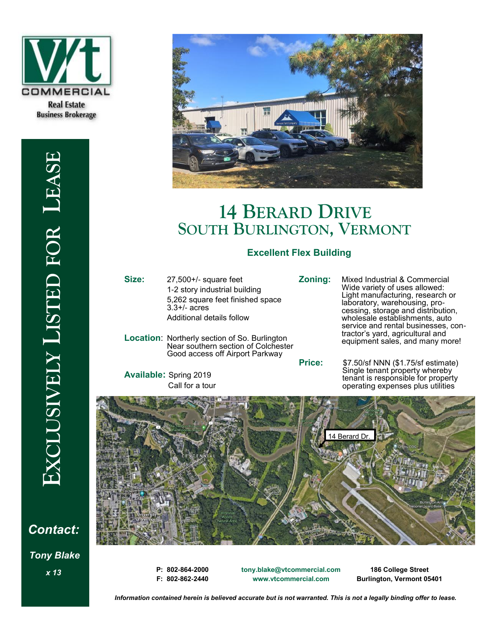





# **14 BERARD DRIVE SOUTH BURLINGTON, VERMONT**

# **Excellent Flex Building**

**Size:** 27,500+/- square feet

1-2 story industrial building 5,262 square feet finished space 3.3+/- acres Additional details follow

**Location**: Northerly section of So. Burlington Near southern section of Colchester Good access off Airport Parkway

**Available:** Spring 2019 Call for a tour

**Zoning:** Mixed Industrial & Commercial Wide variety of uses allowed: Light manufacturing, research or laboratory, warehousing, processing, storage and distribution, wholesale establishments, auto service and rental businesses, contractor's yard, agricultural and equipment sales, and many more!

**Price:** \$7.50/sf NNN (\$1.75/sf estimate) Single tenant property whereby tenant is responsible for property operating expenses plus utilities



*x 13* **P: 802-864-2000 F: 802-862-2440** **tony.blake@vtcommercial.com www.vtcommercial.com** 

**186 College Street Burlington, Vermont 05401**

*Information contained herein is believed accurate but is not warranted. This is not a legally binding offer to lease.*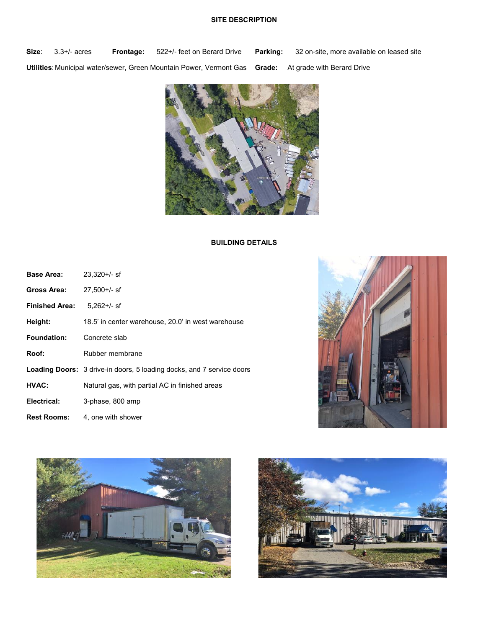## **SITE DESCRIPTION**

**Size**: 3.3+/- acres **Frontage:** 522+/- feet on Berard Drive **Parking:** 32 on-site, more available on leased site **Utilities**: Municipal water/sewer, Green Mountain Power, Vermont Gas **Grade:** At grade with Berard Drive



### **BUILDING DETAILS**

| Base Area:            | $23.320 +/-$ sf                                                              |
|-----------------------|------------------------------------------------------------------------------|
| Gross Area:           | $27.500 +/-$ sf                                                              |
| <b>Finished Area:</b> | $5.262 +/-$ sf                                                               |
| Height:               | 18.5' in center warehouse, 20.0' in west warehouse                           |
| <b>Foundation:</b>    | Concrete slab                                                                |
| Roof:                 | Rubber membrane                                                              |
|                       | <b>Loading Doors:</b> 3 drive-in doors, 5 loading docks, and 7 service doors |
| HVAC:                 | Natural gas, with partial AC in finished areas                               |
| Electrical:           | 3-phase, 800 amp                                                             |
| <b>Rest Rooms:</b>    | 4, one with shower                                                           |